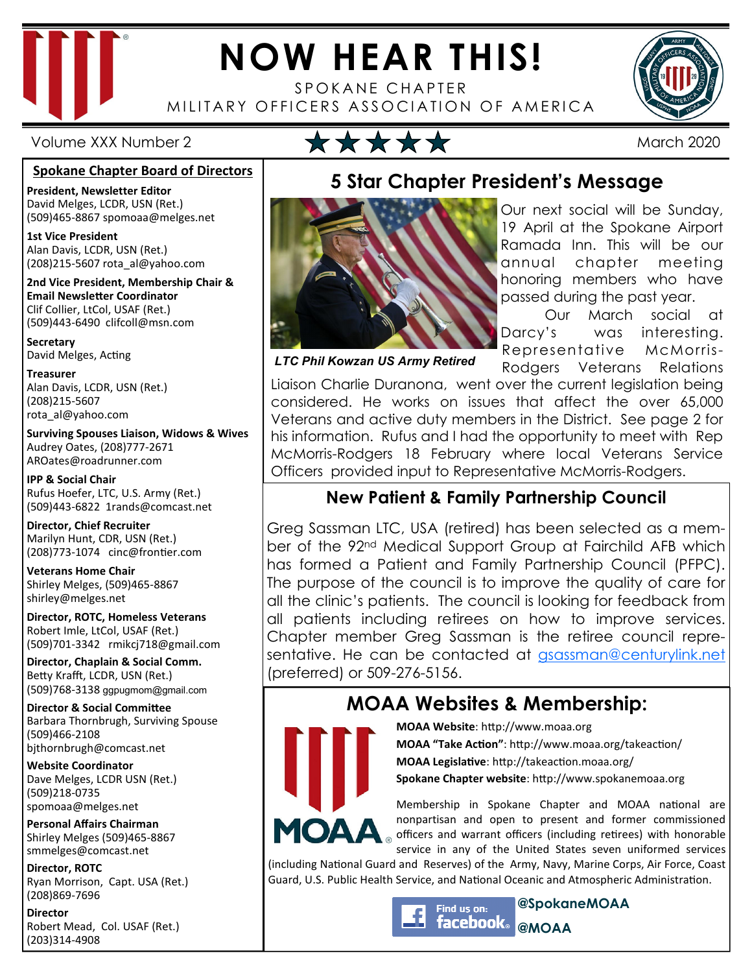

# **NOW HEAR THIS!**

SPOKANE CHAPTER MILITARY OFFICERS ASSOCIATION OF AMERICA



Volume XXX Number 2 March 2020

#### **Spokane Chapter Board of Directors**

**President, Newsletter Editor**  David Melges, LCDR, USN (Ret.) (509)465-8867 spomoaa@melges.net

**1st Vice President**  Alan Davis, LCDR, USN (Ret.) (208)215-5607 rota\_al@yahoo.com

**2nd Vice President, Membership Chair & Email Newsletter Coordinator** Clif Collier, LtCol, USAF (Ret.) (509)443-6490 clifcoll@msn.com

**Secretary**  David Melges, Acting

**Treasurer**  Alan Davis, LCDR, USN (Ret.) (208)215-5607 rota\_al@yahoo.com

**Surviving Spouses Liaison, Widows & Wives**  Audrey Oates, (208)777-2671 AROates@roadrunner.com

**IPP & Social Chair**  Rufus Hoefer, LTC, U.S. Army (Ret.) (509)443-6822 1rands@comcast.net

**Director, Chief Recruiter**  Marilyn Hunt, CDR, USN (Ret.) (208)773-1074 cinc@frontier.com

**Veterans Home Chair**  Shirley Melges, (509)465-8867 shirley@melges.net

**Director, ROTC, Homeless Veterans**  Robert Imle, LtCol, USAF (Ret.) (509)701-3342 rmikcj718@gmail.com

**Director, Chaplain & Social Comm.** Betty Krafft, LCDR, USN (Ret.) (509)768-3138 ggpugmom@gmail.com

**Director & Social Committee** Barbara Thornbrugh, Surviving Spouse (509)466-2108 bjthornbrugh@comcast.net

**Website Coordinator**  Dave Melges, LCDR USN (Ret.) (509)218-0735 spomoaa@melges.net

**Personal Affairs Chairman**  Shirley Melges (509)465-8867 smmelges@comcast.net

**Director, ROTC**  Ryan Morrison, Capt. USA (Ret.) (208)869-7696

**Director**  Robert Mead, Col. USAF (Ret.) (203)314-4908

*LTC Phil Kowzan US Army Retired* 

Our next social will be Sunday, 19 April at the Spokane Airport Ramada Inn. This will be our annual chapter meeting honoring members who have passed during the past year.

Our March social at Darcy's was interesting. Representative McMorris-Rodgers Veterans Relations

Liaison Charlie Duranona, went over the current legislation being considered. He works on issues that affect the over 65,000 Veterans and active duty members in the District. See page 2 for his information. Rufus and I had the opportunity to meet with Rep McMorris-Rodgers 18 February where local Veterans Service Officers provided input to Representative McMorris-Rodgers.

### **New Patient & Family Partnership Council**

Greg Sassman LTC, USA (retired) has been selected as a member of the 92<sup>nd</sup> Medical Support Group at Fairchild AFB which has formed a Patient and Family Partnership Council (PFPC). The purpose of the council is to improve the quality of care for all the clinic's patients. The council is looking for feedback from all patients including retirees on how to improve services. Chapter member Greg Sassman is the retiree council representative. He can be contacted at gsassman@centurylink.net (preferred) or 509-276-5156.

### **MOAA Websites & Membership:**



**MOAA Website: http://www.moaa.org MOAA "Take Action"**: http://www.moaa.org/takeaction/ **MOAA Legislative**: http://takeaction.moaa.org/ **Spokane Chapter website**: http://www.spokanemoaa.org

Membership in Spokane Chapter and MOAA national are nonpartisan and open to present and former commissioned **MOAA** officers and warrant officers (including retirees) with honorable service in any of the United States seven uniformed services

(including National Guard and Reserves) of the Army, Navy, Marine Corps, Air Force, Coast Guard, U.S. Public Health Service, and National Oceanic and Atmospheric Administration.



### **5 Star Chapter President's Message**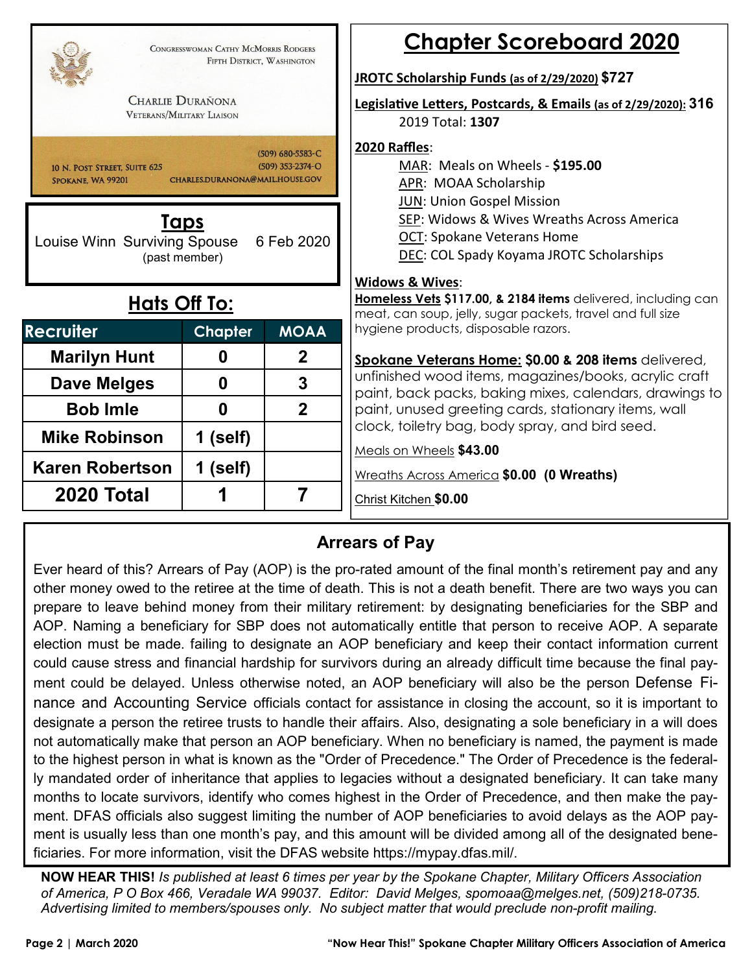|                |                                                                                                               | <b>Chapter Scoreboard 2020</b><br>JROTC Scholarship Funds (as of 2/29/2020) \$727                                                                                                                                                            |  |  |  |
|----------------|---------------------------------------------------------------------------------------------------------------|----------------------------------------------------------------------------------------------------------------------------------------------------------------------------------------------------------------------------------------------|--|--|--|
|                |                                                                                                               | Legislative Letters, Postcards, & Emails (as of 2/29/2020): 316<br>2019 Total: 1307                                                                                                                                                          |  |  |  |
|                |                                                                                                               | 2020 Raffles:<br>MAR: Meals on Wheels - \$195.00<br>APR: MOAA Scholarship<br><b>JUN: Union Gospel Mission</b><br>SEP: Widows & Wives Wreaths Across America<br><b>OCT: Spokane Veterans Home</b><br>DEC: COL Spady Koyama JROTC Scholarships |  |  |  |
| Hats Off To:   |                                                                                                               | <b>Widows &amp; Wives:</b><br>Homeless Vets \$117.00, & 2184 items delivered, including can<br>meat, can soup, jelly, sugar packets, travel and full size                                                                                    |  |  |  |
| <b>Chapter</b> | <b>MOAA</b>                                                                                                   | hygiene products, disposable razors.                                                                                                                                                                                                         |  |  |  |
| 0              | $\mathbf 2$                                                                                                   | Spokane Veterans Home: \$0.00 & 208 items delivered,                                                                                                                                                                                         |  |  |  |
| $\bf{0}$       | 3                                                                                                             | unfinished wood items, magazines/books, acrylic craft<br>paint, back packs, baking mixes, calendars, drawings to                                                                                                                             |  |  |  |
| $\bf{0}$       | $\mathbf 2$                                                                                                   | paint, unused greeting cards, stationary items, wall                                                                                                                                                                                         |  |  |  |
| 1 (self)       |                                                                                                               | clock, toiletry bag, body spray, and bird seed.                                                                                                                                                                                              |  |  |  |
| 1 (self)       |                                                                                                               | Meals on Wheels \$43.00<br>Wreaths Across America \$0.00 (0 Wreaths)                                                                                                                                                                         |  |  |  |
|                | 7                                                                                                             | Christ Kitchen \$0.00                                                                                                                                                                                                                        |  |  |  |
|                | CHARLIE DURAÑONA<br><b>VETERANS/MILITARY LIAISON</b><br>Taps<br>Louise Winn Surviving Spouse<br>(past member) | CONGRESSWOMAN CATHY MCMORRIS RODGERS<br>FIFTH DISTRICT, WASHINGTON<br>(509) 680-5583-C<br>$(509)$ 353-2374-O<br>CHARLES.DURANONA@MAIL.HOUSE.GOV<br>6 Feb 2020                                                                                |  |  |  |

### **Arrears of Pay**

Ever heard of this? Arrears of Pay (AOP) is the pro-rated amount of the final month's retirement pay and any other money owed to the retiree at the time of death. This is not a death benefit. There are two ways you can prepare to leave behind money from their military retirement: by designating beneficiaries for the SBP and AOP. Naming a beneficiary for SBP does not automatically entitle that person to receive AOP. A separate election must be made. failing to designate an AOP beneficiary and keep their contact information current could cause stress and financial hardship for survivors during an already difficult time because the final payment could be delayed. Unless otherwise noted, an AOP beneficiary will also be the person Defense Finance and Accounting Service officials contact for assistance in closing the account, so it is important to designate a person the retiree trusts to handle their affairs. Also, designating a sole beneficiary in a will does not automatically make that person an AOP beneficiary. When no beneficiary is named, the payment is made to the highest person in what is known as the "Order of Precedence." The Order of Precedence is the federally mandated order of inheritance that applies to legacies without a designated beneficiary. It can take many months to locate survivors, identify who comes highest in the Order of Precedence, and then make the payment. DFAS officials also suggest limiting the number of AOP beneficiaries to avoid delays as the AOP payment is usually less than one month's pay, and this amount will be divided among all of the designated beneficiaries. For more information, visit the DFAS website https://mypay.dfas.mil/.

**NOW HEAR THIS!** *Is published at least 6 times per year by the Spokane Chapter, Military Officers Association of America, P O Box 466, Veradale WA 99037. Editor: David Melges, spomoaa@melges.net, (509)218-0735. Advertising limited to members/spouses only. No subject matter that would preclude non-profit mailing.*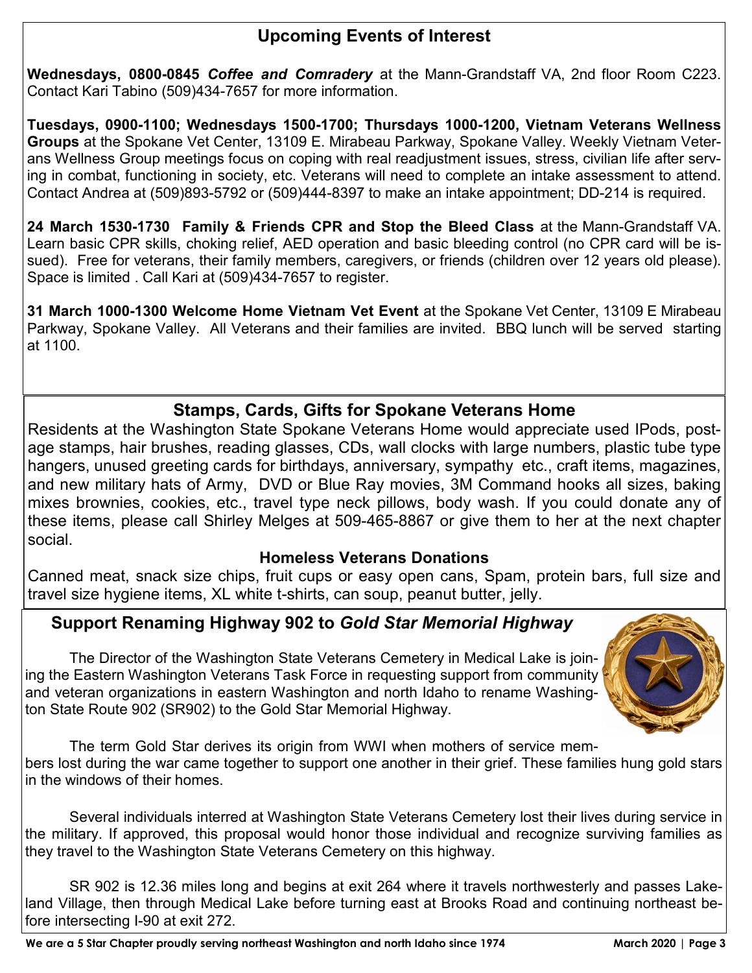### **Upcoming Events of Interest**

**Wednesdays, 0800-0845** *Coffee and Comradery* at the Mann-Grandstaff VA, 2nd floor Room C223. Contact Kari Tabino (509)434-7657 for more information.

**Tuesdays, 0900-1100; Wednesdays 1500-1700; Thursdays 1000-1200, Vietnam Veterans Wellness Groups** at the Spokane Vet Center, 13109 E. Mirabeau Parkway, Spokane Valley. Weekly Vietnam Veterans Wellness Group meetings focus on coping with real readjustment issues, stress, civilian life after serving in combat, functioning in society, etc. Veterans will need to complete an intake assessment to attend. Contact Andrea at (509)893-5792 or (509)444-8397 to make an intake appointment; DD-214 is required.

**24 March 1530-1730 Family & Friends CPR and Stop the Bleed Class** at the Mann-Grandstaff VA. Learn basic CPR skills, choking relief, AED operation and basic bleeding control (no CPR card will be issued). Free for veterans, their family members, caregivers, or friends (children over 12 years old please). Space is limited . Call Kari at (509)434-7657 to register.

**31 March 1000-1300 Welcome Home Vietnam Vet Event** at the Spokane Vet Center, 13109 E Mirabeau Parkway, Spokane Valley. All Veterans and their families are invited. BBQ lunch will be served starting at 1100.

### **Stamps, Cards, Gifts for Spokane Veterans Home**

Residents at the Washington State Spokane Veterans Home would appreciate used IPods, postage stamps, hair brushes, reading glasses, CDs, wall clocks with large numbers, plastic tube type hangers, unused greeting cards for birthdays, anniversary, sympathy etc., craft items, magazines, and new military hats of Army, DVD or Blue Ray movies, 3M Command hooks all sizes, baking mixes brownies, cookies, etc., travel type neck pillows, body wash. If you could donate any of these items, please call Shirley Melges at 509-465-8867 or give them to her at the next chapter social.

### **Homeless Veterans Donations**

Canned meat, snack size chips, fruit cups or easy open cans, Spam, protein bars, full size and travel size hygiene items, XL white t-shirts, can soup, peanut butter, jelly.

### **Support Renaming Highway 902 to** *Gold Star Memorial Highway*

 The Director of the Washington State Veterans Cemetery in Medical Lake is joining the Eastern Washington Veterans Task Force in requesting support from community and veteran organizations in eastern Washington and north Idaho to rename Washington State Route 902 (SR902) to the Gold Star Memorial Highway.



 The term Gold Star derives its origin from WWI when mothers of service members lost during the war came together to support one another in their grief. These families hung gold stars in the windows of their homes.

 Several individuals interred at Washington State Veterans Cemetery lost their lives during service in the military. If approved, this proposal would honor those individual and recognize surviving families as they travel to the Washington State Veterans Cemetery on this highway.

 SR 902 is 12.36 miles long and begins at exit 264 where it travels northwesterly and passes Lakeland Village, then through Medical Lake before turning east at Brooks Road and continuing northeast before intersecting I-90 at exit 272.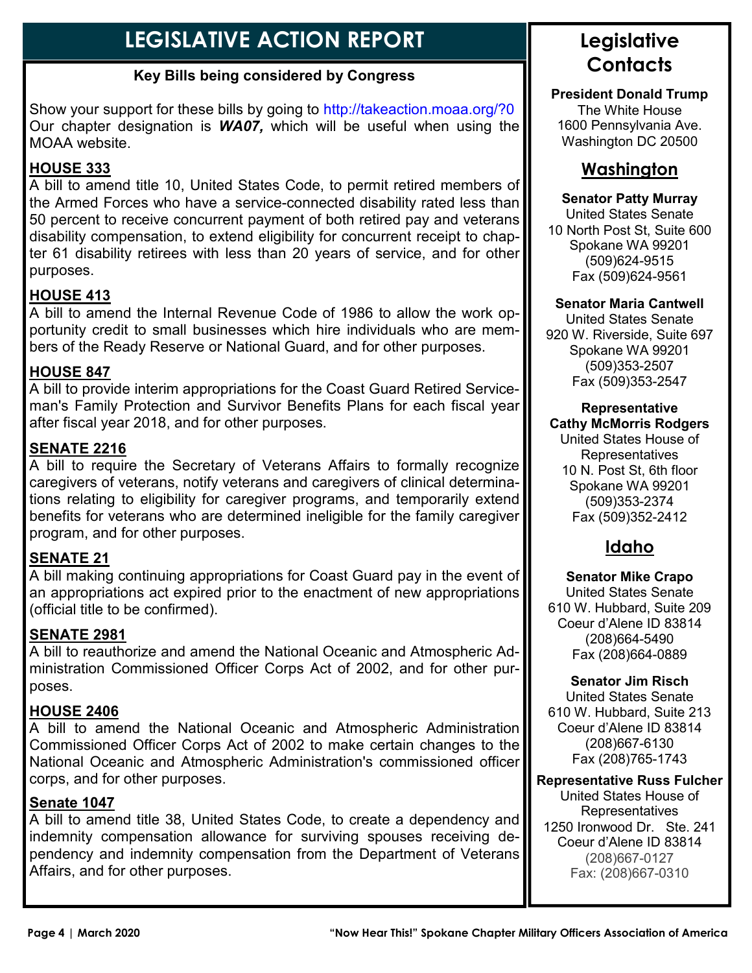### **LEGISLATIVE ACTION REPORT**

#### **Key Bills being considered by Congress**

Show your support for these bills by going to http://takeaction.moaa.org/?0 Our chapter designation is *WA07,* which will be useful when using the MOAA website.

### **HOUSE 333**

A bill to amend title 10, United States Code, to permit retired members of the Armed Forces who have a service-connected disability rated less than 50 percent to receive concurrent payment of both retired pay and veterans disability compensation, to extend eligibility for concurrent receipt to chapter 61 disability retirees with less than 20 years of service, and for other purposes.

### **HOUSE 413**

A bill to amend the Internal Revenue Code of 1986 to allow the work opportunity credit to small businesses which hire individuals who are members of the Ready Reserve or National Guard, and for other purposes.

### **HOUSE 847**

A bill to provide interim appropriations for the Coast Guard Retired Serviceman's Family Protection and Survivor Benefits Plans for each fiscal year after fiscal year 2018, and for other purposes.

### **SENATE 2216**

A bill to require the Secretary of Veterans Affairs to formally recognize caregivers of veterans, notify veterans and caregivers of clinical determinations relating to eligibility for caregiver programs, and temporarily extend benefits for veterans who are determined ineligible for the family caregiver program, and for other purposes.

### **SENATE 21**

A bill making continuing appropriations for Coast Guard pay in the event of an appropriations act expired prior to the enactment of new appropriations (official title to be confirmed).

### **SENATE 2981**

A bill to reauthorize and amend the National Oceanic and Atmospheric Administration Commissioned Officer Corps Act of 2002, and for other purposes.

#### **HOUSE 2406**

A bill to amend the National Oceanic and Atmospheric Administration Commissioned Officer Corps Act of 2002 to make certain changes to the National Oceanic and Atmospheric Administration's commissioned officer corps, and for other purposes.

### **Senate 1047**

A bill to amend title 38, United States Code, to create a dependency and indemnity compensation allowance for surviving spouses receiving dependency and indemnity compensation from the Department of Veterans Affairs, and for other purposes.

### **Legislative Contacts**

**President Donald Trump**  The White House 1600 Pennsylvania Ave. Washington DC 20500

### **Washington**

#### **Senator Patty Murray**

United States Senate 10 North Post St, Suite 600 Spokane WA 99201 (509)624-9515 Fax (509)624-9561

#### **Senator Maria Cantwell**

United States Senate 920 W. Riverside, Suite 697 Spokane WA 99201 (509)353-2507 Fax (509)353-2547

#### **Representative Cathy McMorris Rodgers**

United States House of **Representatives** 10 N. Post St, 6th floor Spokane WA 99201 (509)353-2374 Fax (509)352-2412

### **Idaho**

**Senator Mike Crapo** United States Senate 610 W. Hubbard, Suite 209 Coeur d'Alene ID 83814 (208)664-5490 Fax (208)664-0889

#### **Senator Jim Risch**

United States Senate 610 W. Hubbard, Suite 213 Coeur d'Alene ID 83814 (208)667-6130 Fax (208)765-1743

#### **Representative Russ Fulcher**

United States House of Representatives 1250 Ironwood Dr. Ste. 241 Coeur d'Alene ID 83814 (208)667-0127 Fax: (208)667-0310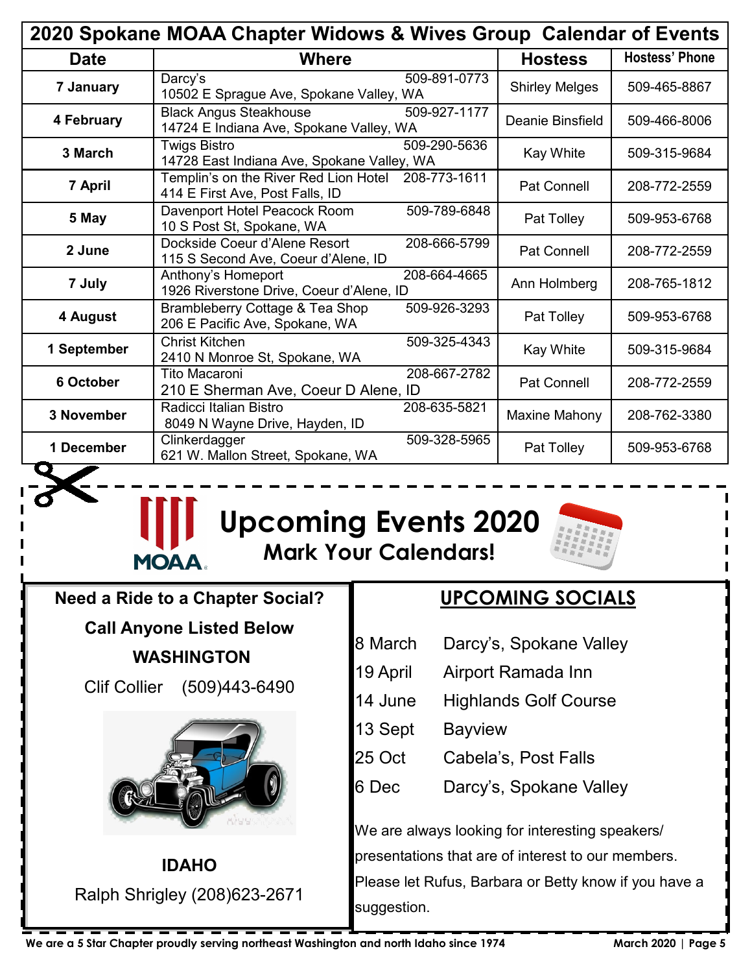| 2020 Spokane MOAA Chapter Widows & Wives Group Calendar of Events |                                                                                          |                       |                       |  |  |  |  |
|-------------------------------------------------------------------|------------------------------------------------------------------------------------------|-----------------------|-----------------------|--|--|--|--|
| <b>Date</b>                                                       | <b>Where</b>                                                                             | <b>Hostess</b>        | <b>Hostess' Phone</b> |  |  |  |  |
| 7 January                                                         | 509-891-0773<br>Darcy's<br>10502 E Sprague Ave, Spokane Valley, WA                       | <b>Shirley Melges</b> | 509-465-8867          |  |  |  |  |
| 4 February                                                        | <b>Black Angus Steakhouse</b><br>509-927-1177<br>14724 E Indiana Ave, Spokane Valley, WA | Deanie Binsfield      | 509-466-8006          |  |  |  |  |
| 3 March                                                           | 509-290-5636<br>Twigs Bistro<br>14728 East Indiana Ave, Spokane Valley, WA               | <b>Kay White</b>      | 509-315-9684          |  |  |  |  |
| 7 April                                                           | Templin's on the River Red Lion Hotel 208-773-1611<br>414 E First Ave, Post Falls, ID    | Pat Connell           | 208-772-2559          |  |  |  |  |
| 5 May                                                             | Davenport Hotel Peacock Room<br>509-789-6848<br>10 S Post St, Spokane, WA                | Pat Tolley            | 509-953-6768          |  |  |  |  |
| 2 June                                                            | Dockside Coeur d'Alene Resort<br>208-666-5799<br>115 S Second Ave, Coeur d'Alene, ID     | <b>Pat Connell</b>    | 208-772-2559          |  |  |  |  |
| 7 July                                                            | 208-664-4665<br>Anthony's Homeport<br>1926 Riverstone Drive, Coeur d'Alene, ID           | Ann Holmberg          | 208-765-1812          |  |  |  |  |
| 4 August                                                          | Brambleberry Cottage & Tea Shop<br>509-926-3293<br>206 E Pacific Ave, Spokane, WA        | Pat Tolley            | 509-953-6768          |  |  |  |  |
| 1 September                                                       | <b>Christ Kitchen</b><br>509-325-4343<br>2410 N Monroe St, Spokane, WA                   | Kay White             | 509-315-9684          |  |  |  |  |
| 6 October                                                         | Tito Macaroni<br>208-667-2782<br>210 E Sherman Ave, Coeur D Alene, ID                    | <b>Pat Connell</b>    | 208-772-2559          |  |  |  |  |
| 3 November                                                        | Radicci Italian Bistro<br>208-635-5821<br>8049 N Wayne Drive, Hayden, ID                 | Maxine Mahony         | 208-762-3380          |  |  |  |  |
| 1 December                                                        | 509-328-5965<br>Clinkerdagger<br>621 W. Mallon Street, Spokane, WA                       | Pat Tolley            | 509-953-6768          |  |  |  |  |

## **Upcoming Events 2020 Mark Your Calendars!**



**Need a Ride to a Chapter Social? Call Anyone Listed Below** 

МОАА.

 **WASHINGTON** 

Clif Collier (509)443-6490



**IDAHO**  Ralph Shrigley (208)623-2671

 $\overline{\phantom{a}}$ 

### **UPCOMING SOCIALS**

- 8 March Darcy's, Spokane Valley
- 19 April Airport Ramada Inn
- 14 June Highlands Golf Course
- 13 Sept Bayview
- 25 Oct Cabela's, Post Falls
- 6 Dec Darcy's, Spokane Valley

We are always looking for interesting speakers/ presentations that are of interest to our members. Please let Rufus, Barbara or Betty know if you have a suggestion.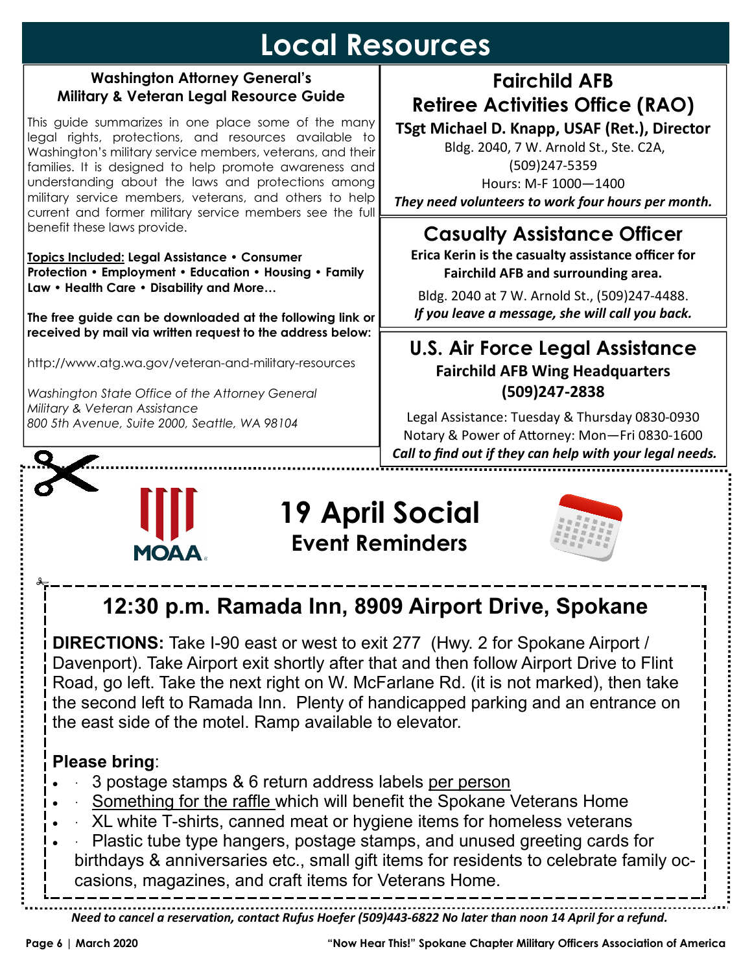## **Local Resources**

#### **Washington Attorney General's Military & Veteran Legal Resource Guide**

This guide summarizes in one place some of the many legal rights, protections, and resources available to Washington's military service members, veterans, and their families. It is designed to help promote awareness and understanding about the laws and protections among military service members, veterans, and others to help current and former military service members see the full benefit these laws provide.

**Topics Included: Legal Assistance • Consumer Protection • Employment • Education • Housing • Family Law • Health Care • Disability and More…** 

**The free guide can be downloaded at the following link or received by mail via written request to the address below:** 

http://www.atg.wa.gov/veteran-and-military-resources

*Washington State Office of the Attorney General Military & Veteran Assistance 800 5th Avenue, Suite 2000, Seattle, WA 98104* 

## **Fairchild AFB Retiree Activities Office (RAO)**

**TSgt Michael D. Knapp, USAF (Ret.), Director** 

 Bldg. 2040, 7 W. Arnold St., Ste. C2A, (509)247-5359 Hours: M-F 1000—1400 *They need volunteers to work four hours per month.* 

### **Casualty Assistance Officer**

**Erica Kerin is the casualty assistance officer for Fairchild AFB and surrounding area.** 

Bldg. 2040 at 7 W. Arnold St., (509)247-4488. *If you leave a message, she will call you back.* 

### **U.S. Air Force Legal Assistance Fairchild AFB Wing Headquarters (509)247-2838**

Legal Assistance: Tuesday & Thursday 0830-0930 Notary & Power of Attorney: Mon-Fri 0830-1600  *Call to find out if they can help with your legal needs.*  

## **19 April Social Event Reminders**



### **12:30 p.m. Ramada Inn, 8909 Airport Drive, Spokane**

**DIRECTIONS:** Take I-90 east or west to exit 277 (Hwy. 2 for Spokane Airport / Davenport). Take Airport exit shortly after that and then follow Airport Drive to Flint Road, go left. Take the next right on W. McFarlane Rd. (it is not marked), then take the second left to Ramada Inn. Plenty of handicapped parking and an entrance on the east side of the motel. Ramp available to elevator.

### **Please bring**:

- 3 postage stamps & 6 return address labels per person
- Something for the raffle which will benefit the Spokane Veterans Home
- · XL white T-shirts, canned meat or hygiene items for homeless veterans
- · Plastic tube type hangers, postage stamps, and unused greeting cards for birthdays & anniversaries etc., small gift items for residents to celebrate family occasions, magazines, and craft items for Veterans Home.

*Need to cancel a reservation, contact Rufus Hoefer (509)443-6822 No later than noon 14 April for a refund.*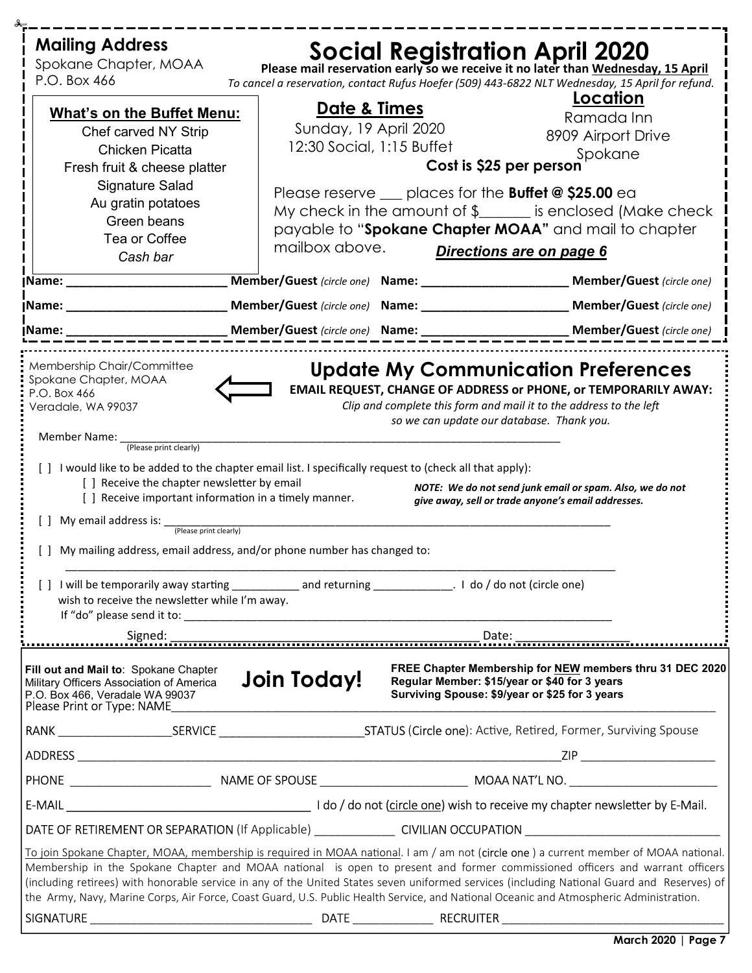| <b>Mailing Address</b>                                                                                                                                                                                                                                                                                                                                                                          |                           | Social Registration April 2020<br>Please mail reservation early so we receive it no later than Wednesday, 15 April                                                                                                                                                                                                                                                                                                                                                                                                                                             |
|-------------------------------------------------------------------------------------------------------------------------------------------------------------------------------------------------------------------------------------------------------------------------------------------------------------------------------------------------------------------------------------------------|---------------------------|----------------------------------------------------------------------------------------------------------------------------------------------------------------------------------------------------------------------------------------------------------------------------------------------------------------------------------------------------------------------------------------------------------------------------------------------------------------------------------------------------------------------------------------------------------------|
| Spokane Chapter, MOAA                                                                                                                                                                                                                                                                                                                                                                           |                           |                                                                                                                                                                                                                                                                                                                                                                                                                                                                                                                                                                |
| P.O. Box 466                                                                                                                                                                                                                                                                                                                                                                                    |                           | To cancel a reservation, contact Rufus Hoefer (509) 443-6822 NLT Wednesday, 15 April for refund.<br>Location                                                                                                                                                                                                                                                                                                                                                                                                                                                   |
| <b>What's on the Buffet Menu:</b>                                                                                                                                                                                                                                                                                                                                                               | Date & Times              | Ramada Inn                                                                                                                                                                                                                                                                                                                                                                                                                                                                                                                                                     |
| Chef carved NY Strip                                                                                                                                                                                                                                                                                                                                                                            | Sunday, 19 April 2020     | 8909 Airport Drive                                                                                                                                                                                                                                                                                                                                                                                                                                                                                                                                             |
| Chicken Picatta                                                                                                                                                                                                                                                                                                                                                                                 | 12:30 Social, 1:15 Buffet | Spokane                                                                                                                                                                                                                                                                                                                                                                                                                                                                                                                                                        |
| Fresh fruit & cheese platter                                                                                                                                                                                                                                                                                                                                                                    |                           | Cost is \$25 per persor                                                                                                                                                                                                                                                                                                                                                                                                                                                                                                                                        |
| Signature Salad                                                                                                                                                                                                                                                                                                                                                                                 |                           | Please reserve __ places for the <b>Buffet</b> @ \$25.00 ea                                                                                                                                                                                                                                                                                                                                                                                                                                                                                                    |
| Au gratin potatoes                                                                                                                                                                                                                                                                                                                                                                              |                           | My check in the amount of $\frac{1}{2}$ is enclosed (Make check                                                                                                                                                                                                                                                                                                                                                                                                                                                                                                |
| Green beans                                                                                                                                                                                                                                                                                                                                                                                     |                           | payable to "Spokane Chapter MOAA" and mail to chapter                                                                                                                                                                                                                                                                                                                                                                                                                                                                                                          |
| Tea or Coffee                                                                                                                                                                                                                                                                                                                                                                                   | mailbox above.            | Directions are on page 6                                                                                                                                                                                                                                                                                                                                                                                                                                                                                                                                       |
| Cash bar                                                                                                                                                                                                                                                                                                                                                                                        |                           |                                                                                                                                                                                                                                                                                                                                                                                                                                                                                                                                                                |
| <b>Name: _______________________</b>                                                                                                                                                                                                                                                                                                                                                            |                           |                                                                                                                                                                                                                                                                                                                                                                                                                                                                                                                                                                |
| <b>Name:</b> _________________________                                                                                                                                                                                                                                                                                                                                                          |                           | Member/Guest (circle one) Name: ____________________________Member/Guest (circle one)                                                                                                                                                                                                                                                                                                                                                                                                                                                                          |
| Name:                                                                                                                                                                                                                                                                                                                                                                                           |                           | Member/Guest (circle one) Name: _________________________________Member/Guest (circle one)                                                                                                                                                                                                                                                                                                                                                                                                                                                                     |
| Member Name:<br>(Please print clearly)<br>[ ] I would like to be added to the chapter email list. I specifically request to (check all that apply):<br>[] Receive the chapter newsletter by email<br>[] Receive important information in a timely manner.<br>My email address is: The Please print clearly<br>$\perp$<br>My mailing address, email address, and/or phone number has changed to: |                           | so we can update our database. Thank you.<br>NOTE: We do not send junk email or spam. Also, we do not<br>give away, sell or trade anyone's email addresses.                                                                                                                                                                                                                                                                                                                                                                                                    |
| wish to receive the newsletter while I'm away.                                                                                                                                                                                                                                                                                                                                                  |                           |                                                                                                                                                                                                                                                                                                                                                                                                                                                                                                                                                                |
|                                                                                                                                                                                                                                                                                                                                                                                                 |                           |                                                                                                                                                                                                                                                                                                                                                                                                                                                                                                                                                                |
| Fill out and Mail to: Spokane Chapter<br>Military Officers Association of America                                                                                                                                                                                                                                                                                                               | Join Today!               | FREE Chapter Membership for NEW members thru 31 DEC 2020<br>Regular Member: \$15/year or \$40 for 3 years                                                                                                                                                                                                                                                                                                                                                                                                                                                      |
| P.O. Box 466, Veradale WA 99037<br>Please Print or Type: NAME                                                                                                                                                                                                                                                                                                                                   |                           | Surviving Spouse: \$9/year or \$25 for 3 years                                                                                                                                                                                                                                                                                                                                                                                                                                                                                                                 |
|                                                                                                                                                                                                                                                                                                                                                                                                 |                           |                                                                                                                                                                                                                                                                                                                                                                                                                                                                                                                                                                |
|                                                                                                                                                                                                                                                                                                                                                                                                 |                           |                                                                                                                                                                                                                                                                                                                                                                                                                                                                                                                                                                |
|                                                                                                                                                                                                                                                                                                                                                                                                 |                           |                                                                                                                                                                                                                                                                                                                                                                                                                                                                                                                                                                |
|                                                                                                                                                                                                                                                                                                                                                                                                 |                           |                                                                                                                                                                                                                                                                                                                                                                                                                                                                                                                                                                |
|                                                                                                                                                                                                                                                                                                                                                                                                 |                           |                                                                                                                                                                                                                                                                                                                                                                                                                                                                                                                                                                |
|                                                                                                                                                                                                                                                                                                                                                                                                 |                           | To join Spokane Chapter, MOAA, membership is required in MOAA national. I am / am not (circle one) a current member of MOAA national.<br>Membership in the Spokane Chapter and MOAA national is open to present and former commissioned officers and warrant officers<br>(including retirees) with honorable service in any of the United States seven uniformed services (including National Guard and Reserves) of<br>the Army, Navy, Marine Corps, Air Force, Coast Guard, U.S. Public Health Service, and National Oceanic and Atmospheric Administration. |

| March 2020   Page 7 |  |  |
|---------------------|--|--|